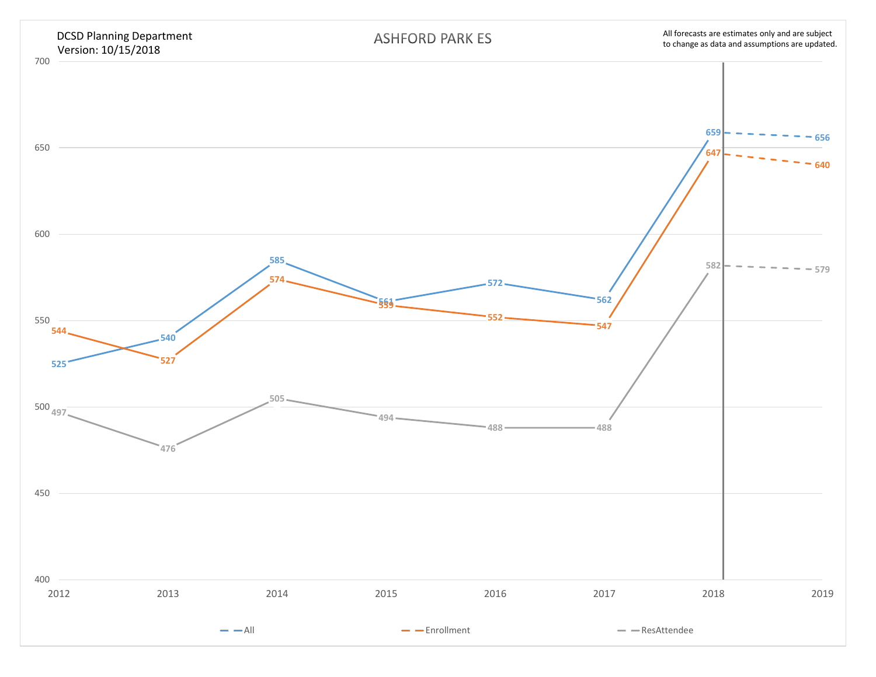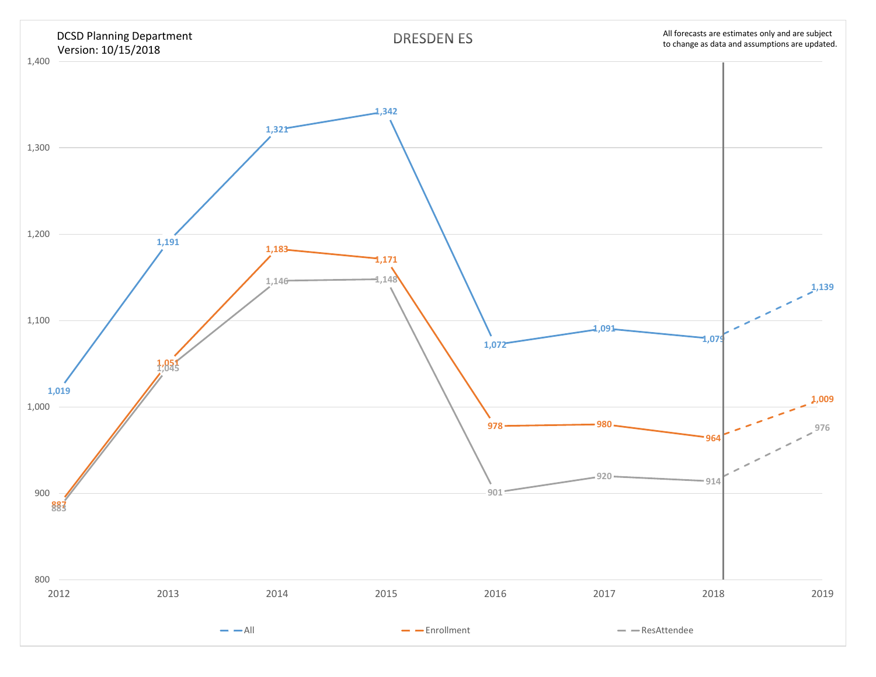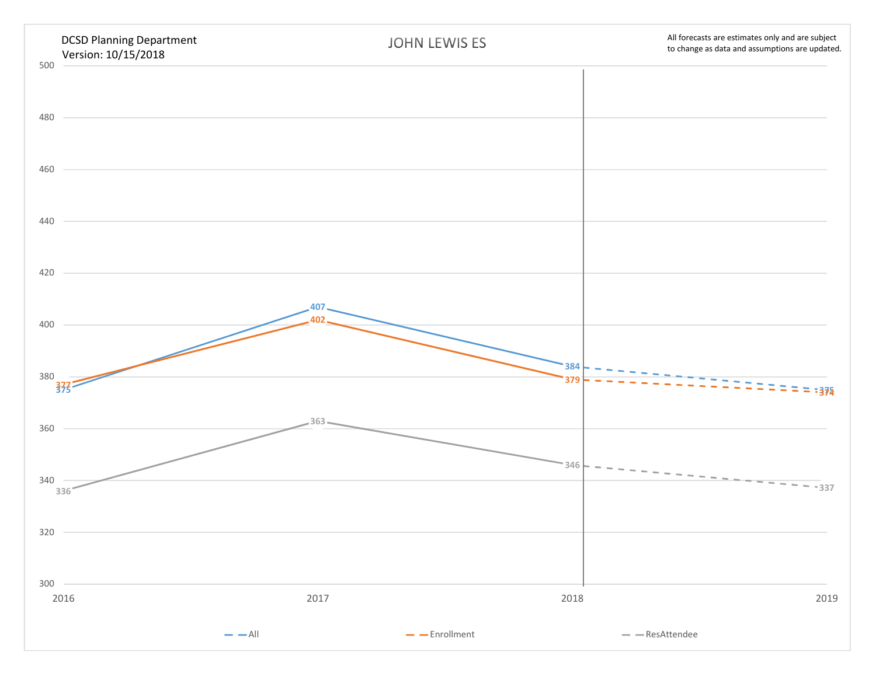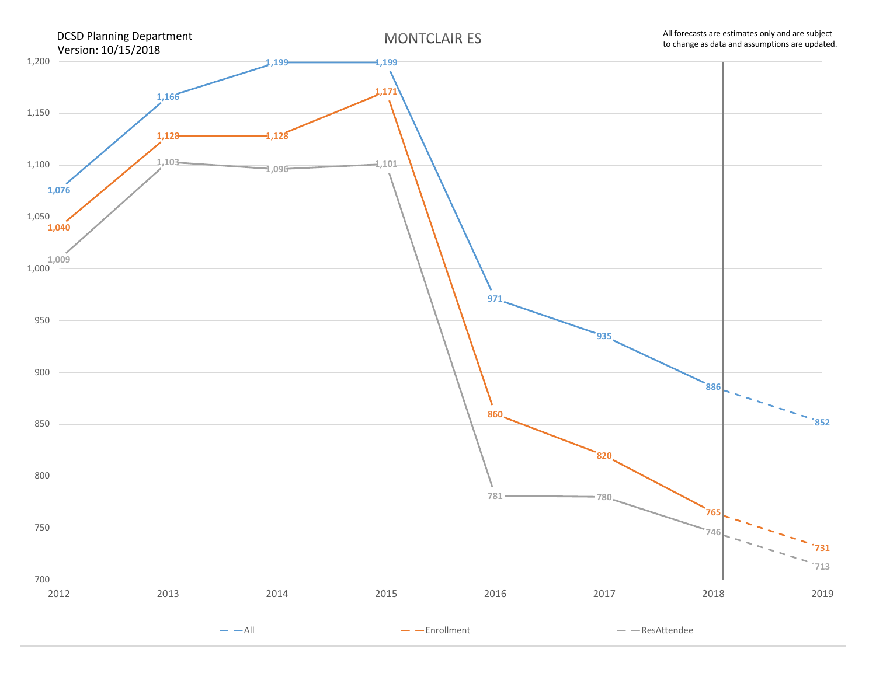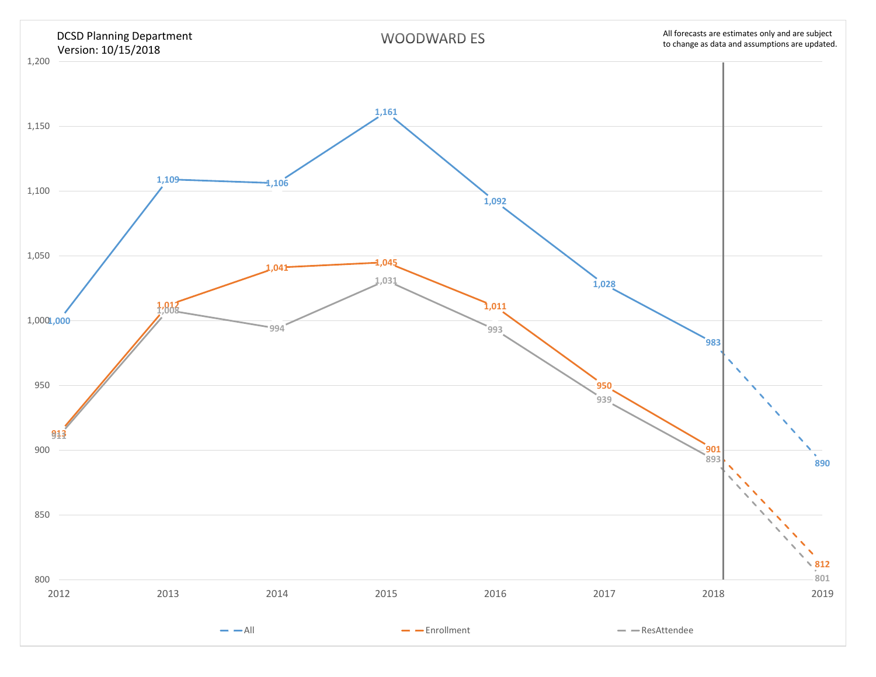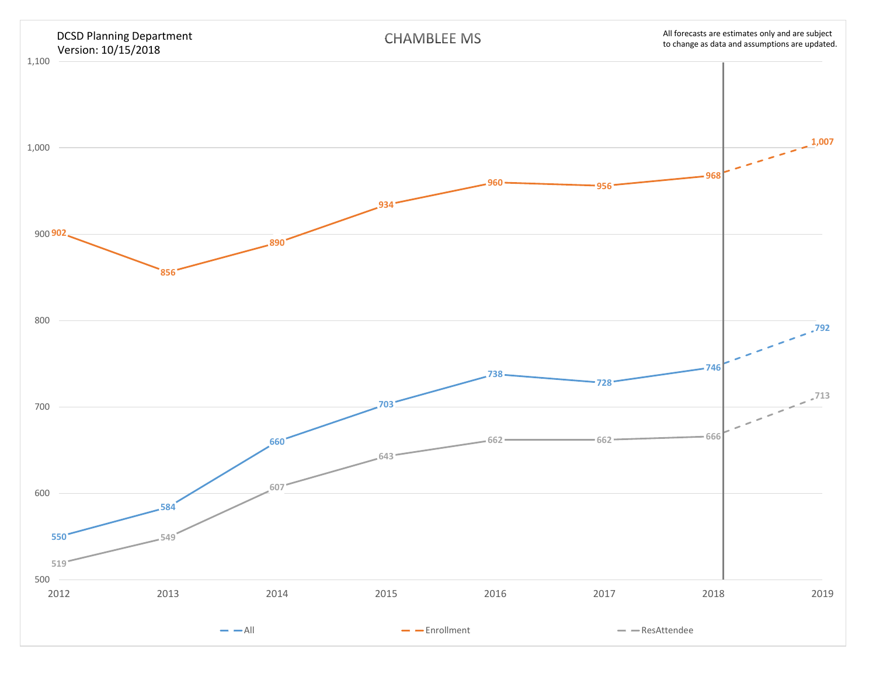![](_page_5_Figure_0.jpeg)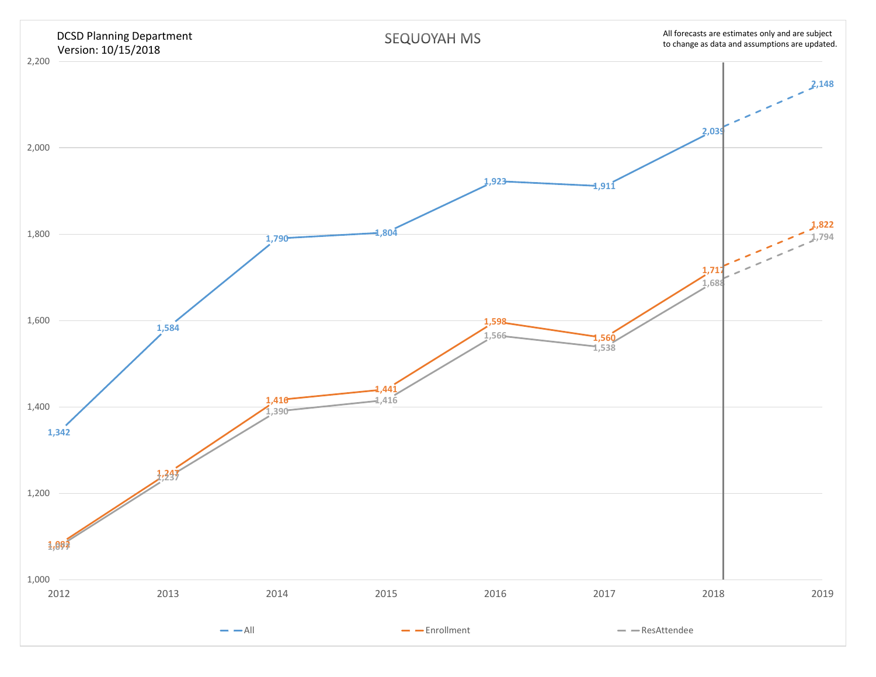![](_page_6_Figure_0.jpeg)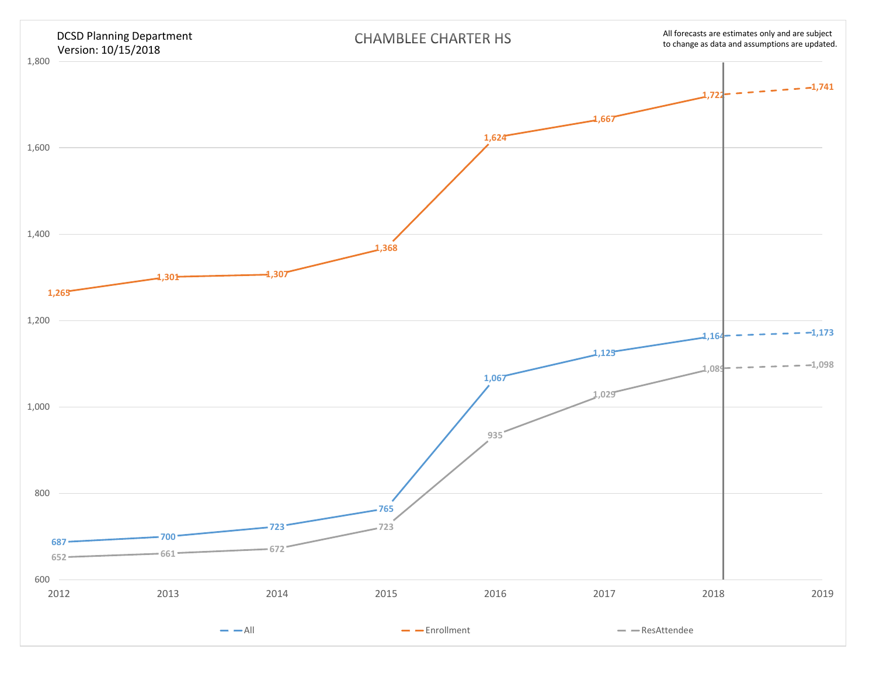![](_page_7_Figure_0.jpeg)